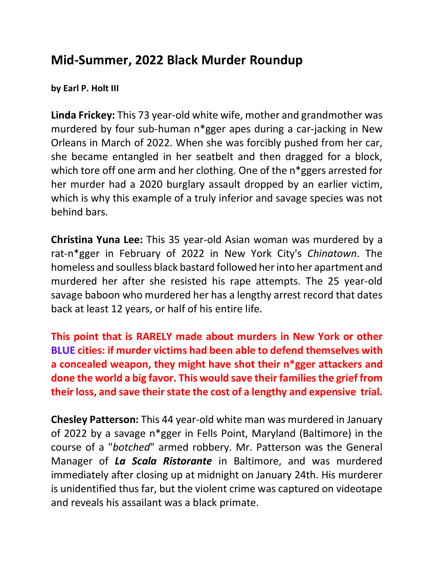## **Mid-Summer, 2022 Black Murder Roundup**

**by Earl P. Holt III**

**Linda Frickey:** This 73 year-old white wife, mother and grandmother was murdered by four sub-human n\*gger apes during a car-jacking in New Orleans in March of 2022. When she was forcibly pushed from her car, she became entangled in her seatbelt and then dragged for a block, which tore off one arm and her clothing. One of the n\*ggers arrested for her murder had a 2020 burglary assault dropped by an earlier victim, which is why this example of a truly inferior and savage species was not behind bars.

**Christina Yuna Lee:** This 35 year-old Asian woman was murdered by a rat-n\*gger in February of 2022 in New York City's *Chinatown*. The homeless and soulless black bastard followed her into her apartment and murdered her after she resisted his rape attempts. The 25 year-old savage baboon who murdered her has a lengthy arrest record that dates back at least 12 years, or half of his entire life.

**This point that is RARELY made about murders in New York or other BLUE cities: if murder victims had been able to defend themselves with a concealed weapon, they might have shot their n\*gger attackers and done the world a big favor. This would save their families the grief from their loss, and save their state the cost of a lengthy and expensive trial.**

**Chesley Patterson:** This 44 year-old white man was murdered in January of 2022 by a savage n\*gger in Fells Point, Maryland (Baltimore) in the course of a "*botched*" armed robbery. Mr. Patterson was the General Manager of *La Scala Ristorante* in Baltimore, and was murdered immediately after closing up at midnight on January 24th. His murderer is unidentified thus far, but the violent crime was captured on videotape and reveals his assailant was a black primate.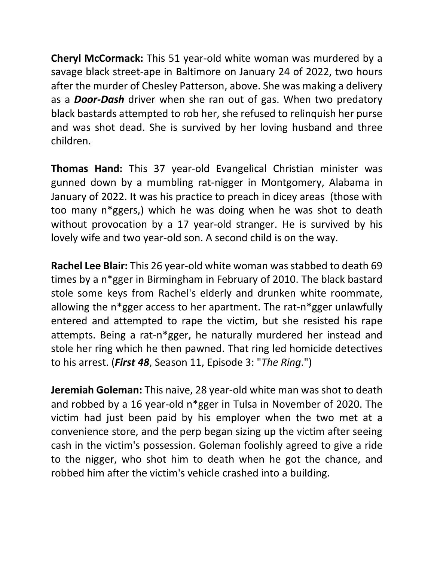**Cheryl McCormack:** This 51 year-old white woman was murdered by a savage black street-ape in Baltimore on January 24 of 2022, two hours after the murder of Chesley Patterson, above. She was making a delivery as a *Door-Dash* driver when she ran out of gas. When two predatory black bastards attempted to rob her, she refused to relinquish her purse and was shot dead. She is survived by her loving husband and three children.

**Thomas Hand:** This 37 year-old Evangelical Christian minister was gunned down by a mumbling rat-nigger in Montgomery, Alabama in January of 2022. It was his practice to preach in dicey areas (those with too many n\*ggers,) which he was doing when he was shot to death without provocation by a 17 year-old stranger. He is survived by his lovely wife and two year-old son. A second child is on the way.

**Rachel Lee Blair:** This 26 year-old white woman was stabbed to death 69 times by a n\*gger in Birmingham in February of 2010. The black bastard stole some keys from Rachel's elderly and drunken white roommate, allowing the n\*gger access to her apartment. The rat-n\*gger unlawfully entered and attempted to rape the victim, but she resisted his rape attempts. Being a rat-n\*gger, he naturally murdered her instead and stole her ring which he then pawned. That ring led homicide detectives to his arrest. (*First 48*, Season 11, Episode 3: "*The Ring*.")

**Jeremiah Goleman:** This naive, 28 year-old white man was shot to death and robbed by a 16 year-old n\*gger in Tulsa in November of 2020. The victim had just been paid by his employer when the two met at a convenience store, and the perp began sizing up the victim after seeing cash in the victim's possession. Goleman foolishly agreed to give a ride to the nigger, who shot him to death when he got the chance, and robbed him after the victim's vehicle crashed into a building.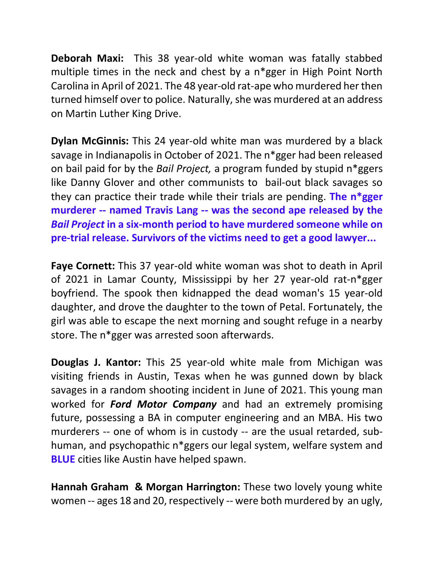**Deborah Maxi:** This 38 year-old white woman was fatally stabbed multiple times in the neck and chest by a n\*gger in High Point North Carolina in April of 2021. The 48 year-old rat-ape who murdered her then turned himself over to police. Naturally, she was murdered at an address on Martin Luther King Drive.

**Dylan McGinnis:** This 24 year-old white man was murdered by a black savage in Indianapolis in October of 2021. The n\*gger had been released on bail paid for by the *Bail Project,* a program funded by stupid n\*ggers like Danny Glover and other communists to bail-out black savages so they can practice their trade while their trials are pending. **The n\*gger murderer -- named Travis Lang -- was the second ape released by the**  *Bail Project* **in a six-month period to have murdered someone while on pre-trial release. Survivors of the victims need to get a good lawyer...**

**Faye Cornett:** This 37 year-old white woman was shot to death in April of 2021 in Lamar County, Mississippi by her 27 year-old rat-n\*gger boyfriend. The spook then kidnapped the dead woman's 15 year-old daughter, and drove the daughter to the town of Petal. Fortunately, the girl was able to escape the next morning and sought refuge in a nearby store. The n\*gger was arrested soon afterwards.

**Douglas J. Kantor:** This 25 year-old white male from Michigan was visiting friends in Austin, Texas when he was gunned down by black savages in a random shooting incident in June of 2021. This young man worked for *Ford Motor Company* and had an extremely promising future, possessing a BA in computer engineering and an MBA. His two murderers -- one of whom is in custody -- are the usual retarded, subhuman, and psychopathic n\*ggers our legal system, welfare system and **BLUE** cities like Austin have helped spawn.

**Hannah Graham & Morgan Harrington:** These two lovely young white women -- ages 18 and 20, respectively -- were both murdered by an ugly,